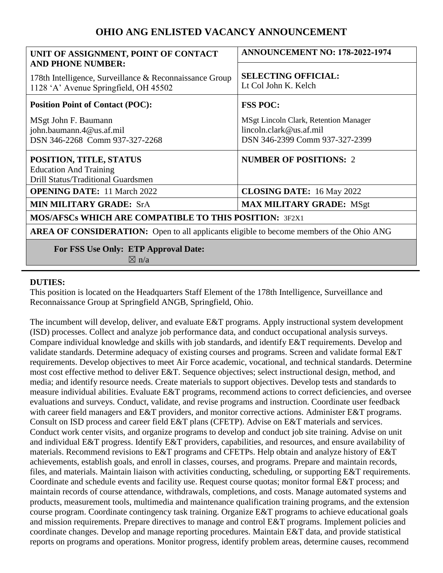# **OHIO ANG ENLISTED VACANCY ANNOUNCEMENT**

| UNIT OF ASSIGNMENT, POINT OF CONTACT<br><b>AND PHONE NUMBER:</b>                                      | <b>ANNOUNCEMENT NO: 178-2022-1974</b>                                                              |
|-------------------------------------------------------------------------------------------------------|----------------------------------------------------------------------------------------------------|
| 178th Intelligence, Surveillance & Reconnaissance Group<br>1128 'A' Avenue Springfield, OH 45502      | <b>SELECTING OFFICIAL:</b><br>Lt Col John K. Kelch                                                 |
| <b>Position Point of Contact (POC):</b>                                                               | <b>FSS POC:</b>                                                                                    |
| MSgt John F. Baumann<br>john.baumann.4@us.af.mil<br>DSN 346-2268 Comm 937-327-2268                    | MSgt Lincoln Clark, Retention Manager<br>lincoln.clark@us.af.mil<br>DSN 346-2399 Comm 937-327-2399 |
| POSITION, TITLE, STATUS<br><b>Education And Training</b><br><b>Drill Status/Traditional Guardsmen</b> | <b>NUMBER OF POSITIONS: 2</b>                                                                      |
| <b>OPENING DATE:</b> 11 March 2022                                                                    | <b>CLOSING DATE:</b> 16 May 2022                                                                   |
| <b>MIN MILITARY GRADE: SrA</b>                                                                        | <b>MAX MILITARY GRADE: MSgt</b>                                                                    |
| MOS/AFSCs WHICH ARE COMPATIBLE TO THIS POSITION: 3F2X1                                                |                                                                                                    |
| <b>AREA OF CONSIDERATION:</b> Open to all applicants eligible to become members of the Ohio ANG       |                                                                                                    |
| <b>For FSS Use Only: ETP Approval Date:</b><br>$\boxtimes$ n/a                                        |                                                                                                    |

#### **DUTIES:**

This position is located on the Headquarters Staff Element of the 178th Intelligence, Surveillance and Reconnaissance Group at Springfield ANGB, Springfield, Ohio.

The incumbent will develop, deliver, and evaluate E&T programs. Apply instructional system development (ISD) processes. Collect and analyze job performance data, and conduct occupational analysis surveys. Compare individual knowledge and skills with job standards, and identify E&T requirements. Develop and validate standards. Determine adequacy of existing courses and programs. Screen and validate formal E&T requirements. Develop objectives to meet Air Force academic, vocational, and technical standards. Determine most cost effective method to deliver E&T. Sequence objectives; select instructional design, method, and media; and identify resource needs. Create materials to support objectives. Develop tests and standards to measure individual abilities. Evaluate E&T programs, recommend actions to correct deficiencies, and oversee evaluations and surveys. Conduct, validate, and revise programs and instruction. Coordinate user feedback with career field managers and E&T providers, and monitor corrective actions. Administer E&T programs. Consult on ISD process and career field E&T plans (CFETP). Advise on E&T materials and services. Conduct work center visits, and organize programs to develop and conduct job site training. Advise on unit and individual E&T progress. Identify E&T providers, capabilities, and resources, and ensure availability of materials. Recommend revisions to E&T programs and CFETPs. Help obtain and analyze history of E&T achievements, establish goals, and enroll in classes, courses, and programs. Prepare and maintain records, files, and materials. Maintain liaison with activities conducting, scheduling, or supporting E&T requirements. Coordinate and schedule events and facility use. Request course quotas; monitor formal E&T process; and maintain records of course attendance, withdrawals, completions, and costs. Manage automated systems and products, measurement tools, multimedia and maintenance qualification training programs, and the extension course program. Coordinate contingency task training. Organize E&T programs to achieve educational goals and mission requirements. Prepare directives to manage and control E&T programs. Implement policies and coordinate changes. Develop and manage reporting procedures. Maintain E&T data, and provide statistical reports on programs and operations. Monitor progress, identify problem areas, determine causes, recommend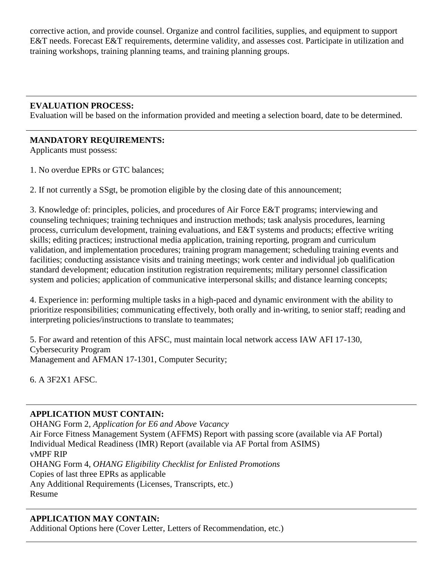corrective action, and provide counsel. Organize and control facilities, supplies, and equipment to support E&T needs. Forecast E&T requirements, determine validity, and assesses cost. Participate in utilization and training workshops, training planning teams, and training planning groups.

### **EVALUATION PROCESS:**

Evaluation will be based on the information provided and meeting a selection board, date to be determined.

### **MANDATORY REQUIREMENTS:**

Applicants must possess:

1. No overdue EPRs or GTC balances;

2. If not currently a SSgt, be promotion eligible by the closing date of this announcement;

3. Knowledge of: principles, policies, and procedures of Air Force E&T programs; interviewing and counseling techniques; training techniques and instruction methods; task analysis procedures, learning process, curriculum development, training evaluations, and E&T systems and products; effective writing skills; editing practices; instructional media application, training reporting, program and curriculum validation, and implementation procedures; training program management; scheduling training events and facilities; conducting assistance visits and training meetings; work center and individual job qualification standard development; education institution registration requirements; military personnel classification system and policies; application of communicative interpersonal skills; and distance learning concepts;

4. Experience in: performing multiple tasks in a high-paced and dynamic environment with the ability to prioritize responsibilities; communicating effectively, both orally and in-writing, to senior staff; reading and interpreting policies/instructions to translate to teammates;

5. For award and retention of this AFSC, must maintain local network access IAW AFI 17-130, Cybersecurity Program Management and AFMAN 17-1301, Computer Security;

6. A 3F2X1 AFSC.

# **APPLICATION MUST CONTAIN:**

OHANG Form 2, *Application for E6 and Above Vacancy* Air Force Fitness Management System (AFFMS) Report with passing score (available via AF Portal) Individual Medical Readiness (IMR) Report (available via AF Portal from ASIMS) vMPF RIP OHANG Form 4, *OHANG Eligibility Checklist for Enlisted Promotions* Copies of last three EPRs as applicable Any Additional Requirements (Licenses, Transcripts, etc.) Resume

# **APPLICATION MAY CONTAIN:**

Additional Options here (Cover Letter, Letters of Recommendation, etc.)